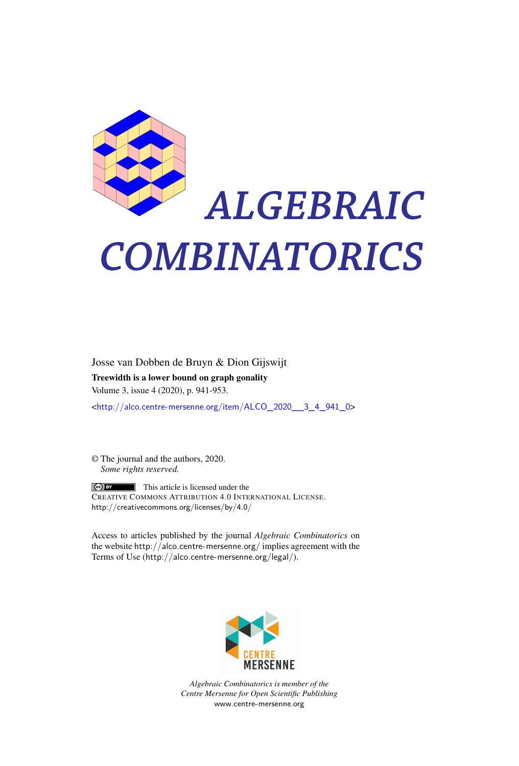

# *ALGEBRAIC COMBINATORICS*

Josse van Dobben de Bruyn & Dion Gijswijt Treewidth is a lower bound on graph gonality Volume 3, issue 4 (2020), p. 941-953.

<[http://alco.centre-mersenne.org/item/ALCO\\_2020\\_\\_3\\_4\\_941\\_0](http://alco.centre-mersenne.org/item/ALCO_2020__3_4_941_0)>

© The journal and the authors, 2020. *Some rights reserved.*

**C** EX This article is licensed under the CREATIVE COMMONS ATTRIBUTION 4.0 INTERNATIONAL LICENSE. <http://creativecommons.org/licenses/by/4.0/>

Access to articles published by the journal *Algebraic Combinatorics* on the website <http://alco.centre-mersenne.org/> implies agreement with the Terms of Use (<http://alco.centre-mersenne.org/legal/>).



*Algebraic Combinatorics is member of the Centre Mersenne for Open Scientific Publishing* <www.centre-mersenne.org>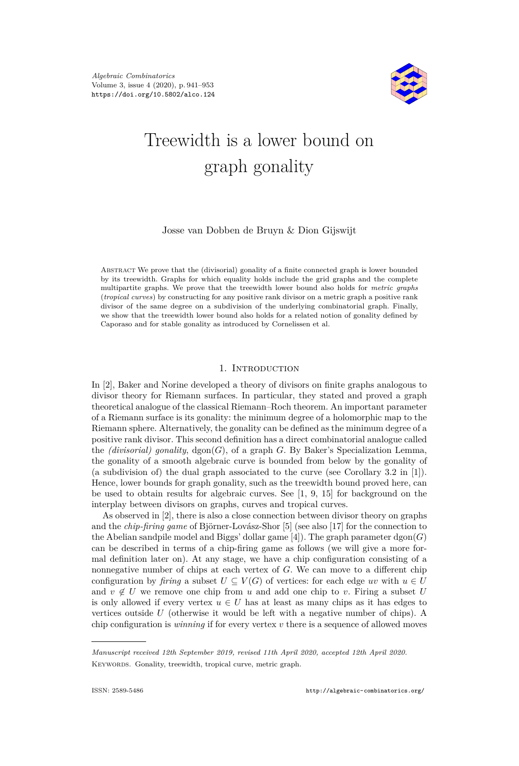

# Treewidth is a lower bound on graph gonality

# Josse van Dobben de Bruyn & Dion Gijswijt

Abstract We prove that the (divisorial) gonality of a finite connected graph is lower bounded by its treewidth. Graphs for which equality holds include the grid graphs and the complete multipartite graphs. We prove that the treewidth lower bound also holds for *metric graphs* (*tropical curves*) by constructing for any positive rank divisor on a metric graph a positive rank divisor of the same degree on a subdivision of the underlying combinatorial graph. Finally, we show that the treewidth lower bound also holds for a related notion of gonality defined by Caporaso and for stable gonality as introduced by Cornelissen et al.

### 1. INTRODUCTION

In [\[2\]](#page-12-0), Baker and Norine developed a theory of divisors on finite graphs analogous to divisor theory for Riemann surfaces. In particular, they stated and proved a graph theoretical analogue of the classical Riemann–Roch theorem. An important parameter of a Riemann surface is its gonality: the minimum degree of a holomorphic map to the Riemann sphere. Alternatively, the gonality can be defined as the minimum degree of a positive rank divisor. This second definition has a direct combinatorial analogue called the *(divisorial) gonality*,  $\text{dgon}(G)$ , of a graph *G*. By Baker's Specialization Lemma, the gonality of a smooth algebraic curve is bounded from below by the gonality of (a subdivision of) the dual graph associated to the curve (see Corollary 3.2 in [\[1\]](#page-12-1)). Hence, lower bounds for graph gonality, such as the treewidth bound proved here, can be used to obtain results for algebraic curves. See [\[1,](#page-12-1) [9,](#page-12-2) [15\]](#page-13-0) for background on the interplay between divisors on graphs, curves and tropical curves.

As observed in [\[2\]](#page-12-0), there is also a close connection between divisor theory on graphs and the *chip-firing game* of Björner-Lovász-Shor [\[5\]](#page-12-3) (see also [\[17\]](#page-13-1) for the connection to the Abelian sandpile model and Biggs' dollar game [\[4\]](#page-12-4)). The graph parameter dgon(*G*) can be described in terms of a chip-firing game as follows (we will give a more formal definition later on). At any stage, we have a chip configuration consisting of a nonnegative number of chips at each vertex of *G*. We can move to a different chip configuration by *firing* a subset  $U \subseteq V(G)$  of vertices: for each edge *uv* with  $u \in U$ and  $v \notin U$  we remove one chip from *u* and add one chip to *v*. Firing a subset *U* is only allowed if every vertex  $u \in U$  has at least as many chips as it has edges to vertices outside *U* (otherwise it would be left with a negative number of chips). A chip configuration is *winning* if for every vertex *v* there is a sequence of allowed moves

*Manuscript received 12th September 2019, revised 11th April 2020, accepted 12th April 2020.* KEYWORDS. Gonality, treewidth, tropical curve, metric graph.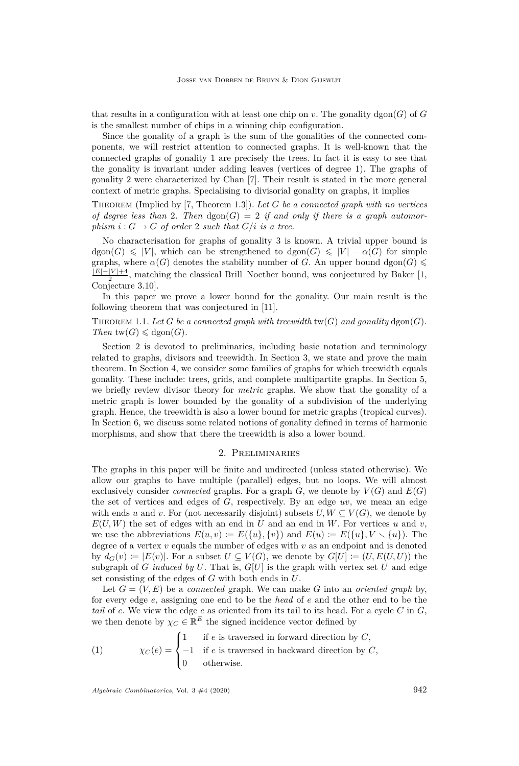that results in a configuration with at least one chip on  $v$ . The gonality dgon( $G$ ) of  $G$ is the smallest number of chips in a winning chip configuration.

Since the gonality of a graph is the sum of the gonalities of the connected components, we will restrict attention to connected graphs. It is well-known that the connected graphs of gonality 1 are precisely the trees. In fact it is easy to see that the gonality is invariant under adding leaves (vertices of degree 1). The graphs of gonality 2 were characterized by Chan [\[7\]](#page-12-5). Their result is stated in the more general context of metric graphs. Specialising to divisorial gonality on graphs, it implies

Theorem (Implied by [\[7,](#page-12-5) Theorem 1.3]). *Let G be a connected graph with no vertices of degree less than* 2. Then  $\text{dgon}(G) = 2$  if and only if there is a graph automor*phism*  $i: G \to G$  *of order* 2 *such that*  $G/i$  *is a tree.* 

No characterisation for graphs of gonality 3 is known. A trivial upper bound is  $\text{dgon}(G) \leqslant |V|$ , which can be strengthened to  $\text{dgon}(G) \leqslant |V| - \alpha(G)$  for simple graphs, where  $\alpha(G)$  denotes the stability number of *G*. An upper bound dgon(*G*)  $\leq$ |*E*|−|*V* |+4  $\frac{|\mathcal{V}|+4}{2}$ , matching the classical Brill–Noether bound, was conjectured by Baker [\[1,](#page-12-1) Conjecture 3.10].

In this paper we prove a lower bound for the gonality. Our main result is the following theorem that was conjectured in [\[11\]](#page-12-6).

THEOREM 1.1. Let *G* be a connected graph with treewidth  $tw(G)$  and gonality  $dgon(G)$ . *Then*  $\text{tw}(G) \leq \text{dgon}(G)$ *.* 

Section 2 is devoted to preliminaries, including basic notation and terminology related to graphs, divisors and treewidth. In Section 3, we state and prove the main theorem. In Section 4, we consider some families of graphs for which treewidth equals gonality. These include: trees, grids, and complete multipartite graphs. In Section 5, we briefly review divisor theory for *metric* graphs. We show that the gonality of a metric graph is lower bounded by the gonality of a subdivision of the underlying graph. Hence, the treewidth is also a lower bound for metric graphs (tropical curves). In Section 6, we discuss some related notions of gonality defined in terms of harmonic morphisms, and show that there the treewidth is also a lower bound.

#### 2. Preliminaries

The graphs in this paper will be finite and undirected (unless stated otherwise). We allow our graphs to have multiple (parallel) edges, but no loops. We will almost exclusively consider *connected* graphs. For a graph  $G$ , we denote by  $V(G)$  and  $E(G)$ the set of vertices and edges of *G*, respectively. By an edge *uv*, we mean an edge with ends *u* and *v*. For (not necessarily disjoint) subsets  $U, W \subseteq V(G)$ , we denote by  $E(U, W)$  the set of edges with an end in *U* and an end in *W*. For vertices *u* and *v*, we use the abbreviations  $E(u, v) := E({u}, \{v\})$  and  $E(u) := E({u}, V \setminus {u})$ . The degree of a vertex *v* equals the number of edges with *v* as an endpoint and is denoted by  $d_G(v) := |E(v)|$ . For a subset  $U \subseteq V(G)$ , we denote by  $G[U] := (U, E(U, U))$  the subgraph of *G induced by*  $U$ . That is,  $G[U]$  is the graph with vertex set  $U$  and edge set consisting of the edges of *G* with both ends in *U*.

Let  $G = (V, E)$  be a *connected* graph. We can make G into an *oriented* graph by, for every edge *e*, assigning one end to be the *head* of *e* and the other end to be the *tail* of *e*. We view the edge *e* as oriented from its tail to its head. For a cycle *C* in *G*, we then denote by  $\chi_C \in \mathbb{R}^E$  the signed incidence vector defined by

(1) 
$$
\chi_C(e) = \begin{cases} 1 & \text{if } e \text{ is traversed in forward direction by } C, \\ -1 & \text{if } e \text{ is traversed in backward direction by } C, \\ 0 & \text{otherwise.} \end{cases}
$$

*Algebraic Combinatorics*, Vol. 3 #4 (2020) 942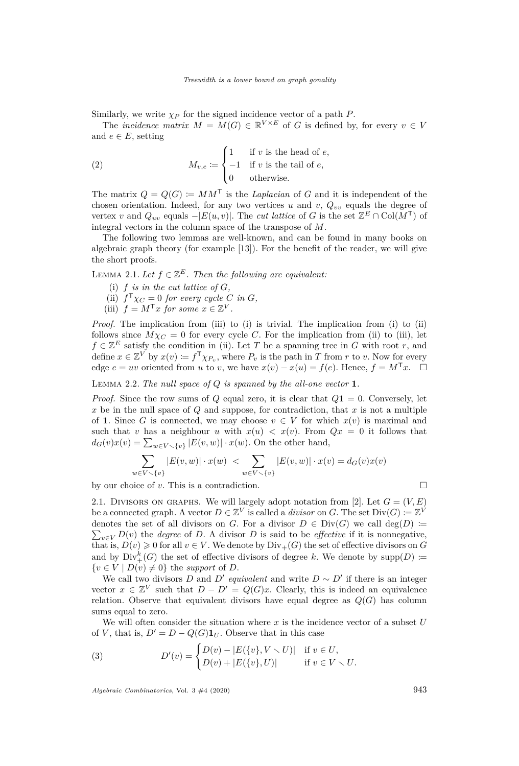Similarly, we write  $\chi_P$  for the signed incidence vector of a path  $P$ .

The *incidence matrix*  $M = M(G) \in \mathbb{R}^{V \times E}$  of *G* is defined by, for every  $v \in V$ and  $e \in E$ , setting

(2) 
$$
M_{v,e} \coloneqq \begin{cases} 1 & \text{if } v \text{ is the head of } e, \\ -1 & \text{if } v \text{ is the tail of } e, \\ 0 & \text{otherwise.} \end{cases}
$$

The matrix  $Q = Q(G) = MM^{\mathsf{T}}$  is the *Laplacian* of *G* and it is independent of the chosen orientation. Indeed, for any two vertices *u* and *v*,  $Q_{vv}$  equals the degree of vertex *v* and  $Q_{uv}$  equals  $-|E(u, v)|$ . The *cut lattice* of *G* is the set  $\mathbb{Z}^E \cap \text{Col}(M^{\mathsf{T}})$  of integral vectors in the column space of the transpose of *M*.

The following two lemmas are well-known, and can be found in many books on algebraic graph theory (for example [\[13\]](#page-12-7)). For the benefit of the reader, we will give the short proofs.

<span id="page-3-4"></span><span id="page-3-1"></span>LEMMA 2.1. Let  $f \in \mathbb{Z}^E$ . Then the following are equivalent:

- (i)  $f$  *is in the cut lattice of G*,
- <span id="page-3-2"></span>(ii)  $f^{\mathsf{T}}\chi_C = 0$  *for every cycle C in G*,
- <span id="page-3-0"></span>(iii)  $f = M^{\mathsf{T}}x$  *for some*  $x \in \mathbb{Z}^V$ .

*Proof.* The implication from [\(iii\)](#page-3-0) to [\(i\)](#page-3-1) is trivial. The implication from (i) to [\(ii\)](#page-3-2) follows since  $M\chi_C = 0$  for every cycle *C*. For the implication from [\(ii\)](#page-3-2) to [\(iii\),](#page-3-0) let  $f \in \mathbb{Z}^E$  satisfy the condition in [\(ii\).](#page-3-2) Let *T* be a spanning tree in *G* with root *r*, and define  $x \in \mathbb{Z}^V$  by  $x(v) \coloneqq f^{\mathsf{T}} \chi_{P_v}$ , where  $P_v$  is the path in *T* from *r* to *v*. Now for every edge  $e = uv$  oriented from *u* to *v*, we have  $x(v) - x(u) = f(e)$ . Hence,  $f = M^{\mathsf{T}}x$ .  $\Box$ 

<span id="page-3-3"></span>Lemma 2.2. *The null space of Q is spanned by the all-one vector* **1***.*

*Proof.* Since the row sums of *Q* equal zero, it is clear that  $Q\mathbf{1} = 0$ . Conversely, let *x* be in the null space of *Q* and suppose, for contradiction, that *x* is not a multiple of **1**. Since *G* is connected, we may choose  $v \in V$  for which  $x(v)$  is maximal and such that *v* has a neighbour *u* with  $x(u) < x(v)$ . From  $Qx = 0$  it follows that  $d_G(v)x(v) = \sum_{w \in V \setminus \{v\}} |E(v, w)| \cdot x(w)$ . On the other hand,

$$
\sum_{w \in V \smallsetminus \{v\}} |E(v, w)| \cdot x(w) < \sum_{w \in V \smallsetminus \{v\}} |E(v, w)| \cdot x(v) = d_G(v)x(v)
$$

by our choice of *v*. This is a contradiction.

2.1. DIVISORS ON GRAPHS. We will largely adopt notation from [\[2\]](#page-12-0). Let  $G = (V, E)$ be a connected graph. A vector  $D \in \mathbb{Z}^V$  is called a *divisor* on *G*. The set  $Div(G) := \mathbb{Z}^V$ denotes the set of all divisors on *G*. For a divisor  $D \in Div(G)$  we call  $deg(D) :=$  $\sum_{v \in V} D(v)$  the *degree* of *D*. A divisor *D* is said to be *effective* if it is nonnegative, that is,  $D(v) \geq 0$  for all  $v \in V$ . We denote by  $Div_+(G)$  the set of effective divisors on *G* and by  $Div^k_+(G)$  the set of effective divisors of degree k. We denote by  $supp(D) \coloneqq$  ${v \in V \mid D(v) \neq 0}$  the *support* of *D*.

We call two divisors *D* and *D'* equivalent and write  $D \sim D'$  if there is an integer vector  $x \in \mathbb{Z}^V$  such that  $D - D' = Q(G)x$ . Clearly, this is indeed an equivalence relation. Observe that equivalent divisors have equal degree as  $Q(G)$  has column sums equal to zero.

We will often consider the situation where *x* is the incidence vector of a subset *U* of *V*, that is,  $D' = D - Q(G) \mathbf{1}_U$ . Observe that in this case

(3) 
$$
D'(v) = \begin{cases} D(v) - |E(\{v\}, V \setminus U)| & \text{if } v \in U, \\ D(v) + |E(\{v\}, U)| & \text{if } v \in V \setminus U. \end{cases}
$$

*Algebraic Combinatorics*, Vol. 3 #4 (2020) 943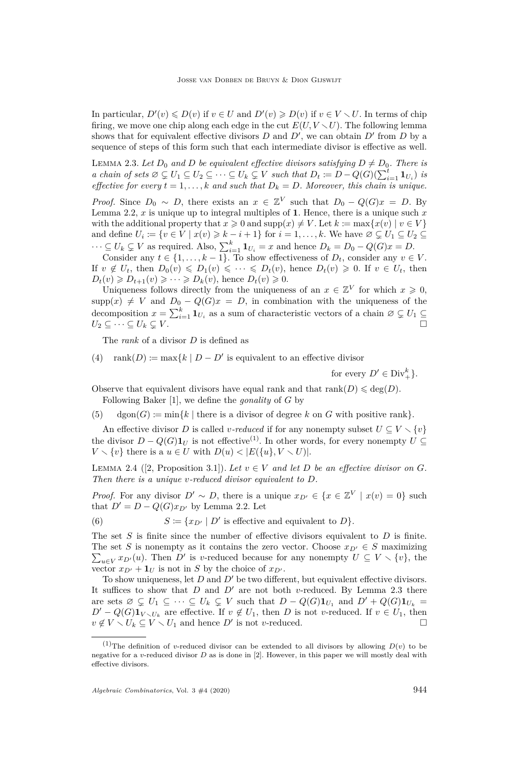In particular,  $D'(v) \le D(v)$  if  $v \in U$  and  $D'(v) \ge D(v)$  if  $v \in V \setminus U$ . In terms of chip firing, we move one chip along each edge in the cut  $E(U, V \setminus U)$ . The following lemma shows that for equivalent effective divisors  $D$  and  $D'$ , we can obtain  $D'$  from  $D$  by a sequence of steps of this form such that each intermediate divisor is effective as well.

<span id="page-4-0"></span>LEMMA 2.3. Let  $D_0$  and  $D$  be equivalent effective divisors satisfying  $D \neq D_0$ . There is *a chain of sets*  $\emptyset \subsetneq U_1 \subseteq U_2 \subseteq \cdots \subseteq U_k \subsetneq V$  *such that*  $D_t := D - Q(G)(\sum_{i=1}^t \mathbf{1}_{U_i})$  *is effective for every*  $\overline{t} = 1, \ldots, k$  *and such that*  $D_k = D$ *. Moreover, this chain is unique.* 

*Proof.* Since  $D_0 \sim D$ , there exists an  $x \in \mathbb{Z}^V$  such that  $D_0 - Q(G)x = D$ . By Lemma [2.2,](#page-3-3) *x* is unique up to integral multiples of **1**. Hence, there is a unique such *x* with the additional property that  $x \ge 0$  and  $\text{supp}(x) \ne V$ . Let  $k := \max\{x(v) | v \in V\}$ and define  $U_i := \{v \in V \mid x(v) \geq k - i + 1\}$  for  $i = 1, \ldots, k$ . We have  $\emptyset \subsetneq U_1 \subseteq U_2 \subseteq$  $\cdots \subseteq U_k \subsetneq V$  as required. Also,  $\sum_{i=1}^k \mathbf{1}_{U_i} = x$  and hence  $D_k = D_0 - Q(G)x = D$ .

Consider any  $t \in \{1, \ldots, k-1\}$ . To show effectiveness of  $D_t$ , consider any  $v \in V$ . If  $v \notin U_t$ , then  $D_0(v) \leq D_1(v) \leq \cdots \leq D_t(v)$ , hence  $D_t(v) \geq 0$ . If  $v \in U_t$ , then  $D_t(v) \geq D_{t+1}(v) \geq \cdots \geq D_k(v)$ , hence  $D_t(v) \geq 0$ .

Uniqueness follows directly from the uniqueness of an  $x \in \mathbb{Z}^V$  for which  $x \geq 0$ ,  $supp(x) \neq V$  and  $D_0 - Q(G)x = D$ , in combination with the uniqueness of the decomposition  $x = \sum_{i=1}^{k} \mathbf{1}_{U_i}$  as a sum of characteristic vectors of a chain  $\varnothing \subsetneq U_1 \subseteq$  $U_2 \subseteq \cdots \subseteq U_k \subsetneq V$ .

The *rank* of a divisor *D* is defined as

(4)  $rank(D) \coloneqq max\{k \mid D - D' \text{ is equivalent to an effective divisor}\}$ 

for every  $D' \in Div_{+}^{k}$ .

Observe that equivalent divisors have equal rank and that  $rank(D) \leq deg(D)$ . Following Baker [\[1\]](#page-12-1), we define the *gonality* of *G* by

(5)  $\text{dgon}(G) := \min\{k \mid \text{there is a divisor of degree } k \text{ on } G \text{ with positive rank}\}.$ 

An effective divisor *D* is called *v*-reduced if for any nonempty subset  $U \subseteq V \setminus \{v\}$ the divisor  $D - Q(G)\mathbf{1}_U$  is not effective<sup>(1)</sup>. In other words, for every nonempty  $U \subseteq$  $V \setminus \{v\}$  there is a  $u \in U$  with  $D(u) < |E(\{u\}, V \setminus U)|$ .

LEMMA 2.4 ([\[2,](#page-12-0) Proposition 3.1]). Let  $v \in V$  and let D be an effective divisor on G. *Then there is a unique v-reduced divisor equivalent to D.*

*Proof.* For any divisor  $D' \sim D$ , there is a unique  $x_{D'} \in \{x \in \mathbb{Z}^V \mid x(v) = 0\}$  such that  $D' = D - Q(G)x_{D'}$  by Lemma [2.2.](#page-3-3) Let

(6)  $S \coloneqq \{x_{D'} \mid D' \text{ is effective and equivalent to } D\}.$ 

The set *S* is finite since the number of effective divisors equivalent to *D* is finite.  $\sum_{u \in V} x_{D'}(u)$ . Then *D'* is *v*-reduced because for any nonempty  $U \subseteq V \setminus \{v\}$ , the The set *S* is nonempty as it contains the zero vector. Choose  $x_{D'} \in S$  maximizing vector  $x_{D'} + \mathbf{1}_U$  is not in *S* by the choice of  $x_{D'}$ .

To show uniqueness, let  $D$  and  $D'$  be two different, but equivalent effective divisors. It suffices to show that  $D$  and  $D'$  are not both  $v$ -reduced. By Lemma [2.3](#page-4-0) there are sets  $\emptyset \subsetneq U_1 \subseteq \cdots \subseteq U_k \subsetneq V$  such that  $D - Q(G)\mathbf{1}_{U_1}$  and  $D' + Q(G)\mathbf{1}_{U_k} =$  $D' - Q(G) \mathbf{1}_{V \setminus U_k}$  are effective. If  $v \notin U_1$ , then *D* is not *v*-reduced. If  $v \in U_1$ , then  $v \notin V \setminus U_k \subseteq V \setminus U_1$  and hence *D'* is not *v*-reduced.

<sup>&</sup>lt;sup>(1)</sup>The definition of *v*-reduced divisor can be extended to all divisors by allowing  $D(v)$  to be negative for a *v*-reduced divisor *D* as is done in [\[2\]](#page-12-0). However, in this paper we will mostly deal with effective divisors.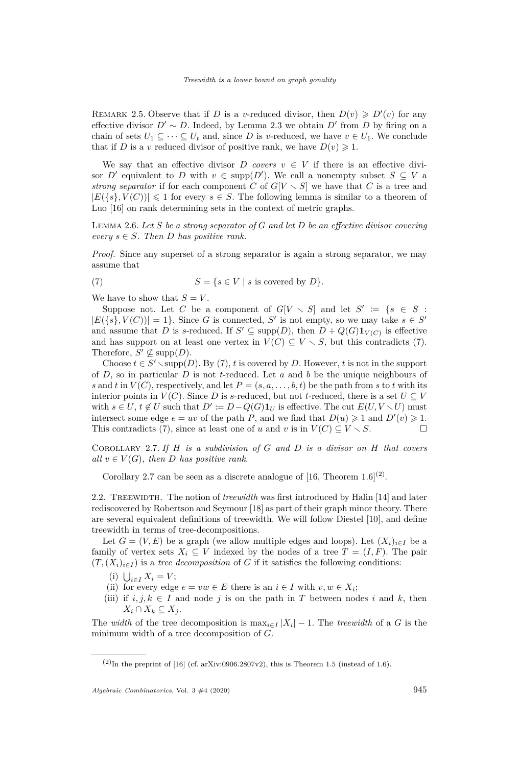REMARK 2.5. Observe that if *D* is a *v*-reduced divisor, then  $D(v) \ge D'(v)$  for any effective divisor  $D' \sim D$ . Indeed, by Lemma [2.3](#page-4-0) we obtain  $D'$  from  $D$  by firing on a chain of sets  $U_1 \subseteq \cdots \subseteq U_t$  and, since D is *v*-reduced, we have  $v \in U_1$ . We conclude that if *D* is a *v* reduced divisor of positive rank, we have  $D(v) \geq 1$ .

We say that an effective divisor *D* covers  $v \in V$  if there is an effective divisor *D'* equivalent to *D* with  $v \in \text{supp}(D')$ . We call a nonempty subset  $S \subseteq V$  a *strong separator* if for each component *C* of  $G[V \setminus S]$  we have that *C* is a tree and  $|E({s}, V(C))| \leq 1$  for every  $s \in S$ . The following lemma is similar to a theorem of Luo [\[16\]](#page-13-2) on rank determining sets in the context of metric graphs.

Lemma 2.6. *Let S be a strong separator of G and let D be an effective divisor covering*  $every \ s \in S.$  Then *D* has positive rank.

*Proof.* Since any superset of a strong separator is again a strong separator, we may assume that

<span id="page-5-0"></span>(7) 
$$
S = \{ s \in V \mid s \text{ is covered by } D \}.
$$

We have to show that  $S = V$ .

Suppose not. Let *C* be a component of  $G[V \setminus S]$  and let  $S' := \{s \in S : S \subset S\}$  $|E({s}, V(C))| = 1$ . Since *G* is connected, *S'* is not empty, so we may take  $s \in S'$ and assume that *D* is *s*-reduced. If  $S' \subseteq \text{supp}(D)$ , then  $D + Q(G) \mathbf{1}_{V(C)}$  is effective and has support on at least one vertex in  $V(C) \subseteq V \setminus S$ , but this contradicts [\(7\)](#page-5-0). Therefore,  $S' \nsubseteq \text{supp}(D)$ .

Choose  $t \in S' \setminus {\rm supp}(D)$ . By [\(7\)](#page-5-0), *t* is covered by *D*. However, *t* is not in the support of *D*, so in particular *D* is not *t*-reduced. Let *a* and *b* be the unique neighbours of *s* and *t* in  $V(C)$ , respectively, and let  $P = (s, a, \ldots, b, t)$  be the path from *s* to *t* with its interior points in  $V(C)$ . Since *D* is *s*-reduced, but not *t*-reduced, there is a set  $U \subseteq V$ with  $s \in U$ ,  $t \notin U$  such that  $D' \coloneqq D - Q(G) \mathbf{1}_U$  is effective. The cut  $E(U, V \setminus U)$  must intersect some edge  $e = uv$  of the path *P*, and we find that  $D(u) \geq 1$  and  $D'(v) \geq 1$ . This contradicts [\(7\)](#page-5-0), since at least one of *u* and *v* is in  $V(C) \subseteq V \setminus S$ .

<span id="page-5-1"></span>Corollary 2.7. *If H is a subdivision of G and D is a divisor on H that covers all*  $v \in V(G)$ *, then D has positive rank.* 

Corollary [2.7](#page-5-1) can be seen as a discrete analogue of [\[16,](#page-13-2) Theorem 1.6]<sup>(2)</sup>.

2.2. Treewidth. The notion of *treewidth* was first introduced by Halin [\[14\]](#page-12-8) and later rediscovered by Robertson and Seymour [\[18\]](#page-13-3) as part of their graph minor theory. There are several equivalent definitions of treewidth. We will follow Diestel [\[10\]](#page-12-9), and define treewidth in terms of tree-decompositions.

Let  $G = (V, E)$  be a graph (we allow multiple edges and loops). Let  $(X_i)_{i \in I}$  be a family of vertex sets  $X_i \subseteq V$  indexed by the nodes of a tree  $T = (I, F)$ . The pair  $(T,(X_i)_{i\in I})$  is a *tree decomposition* of *G* if it satisfies the following conditions:

- $(i)$   $\bigcup_{i \in I} X_i = V;$
- (ii) for every edge  $e = vw \in E$  there is an  $i \in I$  with  $v, w \in X_i$ ;
- (iii) if  $i, j, k \in I$  and node *j* is on the path in *T* between nodes *i* and *k*, then  $X_i \cap X_k \subseteq X_j$ .

The *width* of the tree decomposition is  $\max_{i \in I} |X_i| - 1$ . The *treewidth* of a *G* is the minimum width of a tree decomposition of *G*.

 $(2)$ In the preprint of [\[16\]](#page-13-2) (cf. [arXiv:0906.2807v2\)](https://arxiv.org/abs/0906.2807v2), this is Theorem 1.5 (instead of 1.6).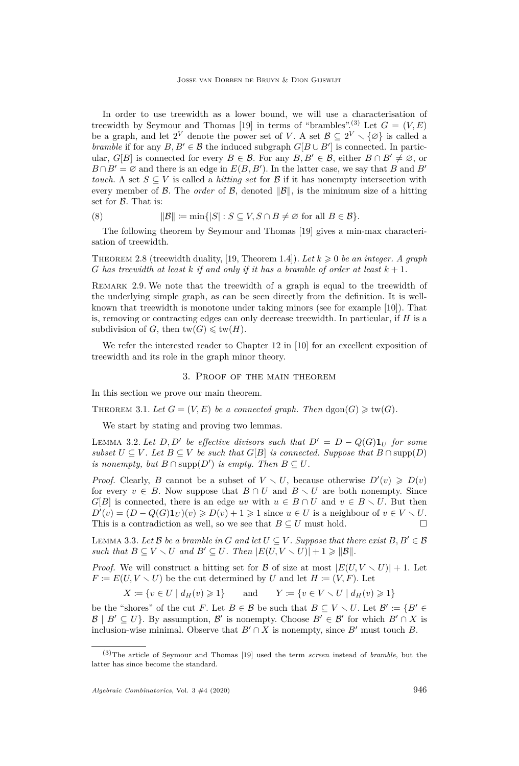In order to use treewidth as a lower bound, we will use a characterisation of treewidth by Seymour and Thomas [\[19\]](#page-13-4) in terms of "brambles".<sup>(3)</sup> Let  $G = (V, E)$ be a graph, and let  $2^V$  denote the power set of V. A set  $\mathcal{B} \subseteq 2^V \setminus \{\emptyset\}$  is called a *bramble* if for any  $B, B' \in \mathcal{B}$  the induced subgraph  $G[B \cup B']$  is connected. In particular, *G*[*B*] is connected for every  $B \in \mathcal{B}$ . For any  $B, B' \in \mathcal{B}$ , either  $B \cap B' \neq \emptyset$ , or  $B \cap B' = \emptyset$  and there is an edge in  $E(B, B')$ . In the latter case, we say that *B* and *B' touch*. A set  $S \subseteq V$  is called a *hitting set* for B if it has nonempty intersection with every member of B. The *order* of B, denoted  $||B||$ , is the minimum size of a hitting set for  $\beta$ . That is:

(8) 
$$
||\mathcal{B}|| := \min\{|S| : S \subseteq V, S \cap B \neq \emptyset \text{ for all } B \in \mathcal{B}\}.
$$

The following theorem by Seymour and Thomas [\[19\]](#page-13-4) gives a min-max characterisation of treewidth.

THEOREM 2.8 (treewidth duality, [\[19,](#page-13-4) Theorem 1.4]). Let  $k \geqslant 0$  be an integer. A graph *G* has treewidth at least  $k$  *if and only if it has a bramble of order at least*  $k + 1$ .

REMARK 2.9. We note that the treewidth of a graph is equal to the treewidth of the underlying simple graph, as can be seen directly from the definition. It is wellknown that treewidth is monotone under taking minors (see for example [\[10\]](#page-12-9)). That is, removing or contracting edges can only decrease treewidth. In particular, if *H* is a subdivision of *G*, then  $tw(G) \leqslant tw(H)$ .

We refer the interested reader to Chapter 12 in [\[10\]](#page-12-9) for an excellent exposition of treewidth and its role in the graph minor theory.

## 3. Proof of the main theorem

In this section we prove our main theorem.

<span id="page-6-0"></span>THEOREM 3.1. Let  $G = (V, E)$  be a connected graph. Then  $\text{dgon}(G) \geq \text{tw}(G)$ .

We start by stating and proving two lemmas.

<span id="page-6-1"></span>LEMMA 3.2. Let  $D, D'$  be effective divisors such that  $D' = D - Q(G) \mathbf{1}_U$  for some *subset*  $U \subseteq V$ . Let  $B \subseteq V$  *be such that*  $G[B]$  *is connected. Suppose that*  $B \cap \text{supp}(D)$ *is nonempty, but*  $B \cap \text{supp}(D')$  *is empty. Then*  $B \subseteq U$ *.* 

*Proof.* Clearly, *B* cannot be a subset of  $V \setminus U$ , because otherwise  $D'(v) \ge D(v)$ for every  $v \in B$ . Now suppose that  $B \cap U$  and  $B \setminus U$  are both nonempty. Since *G*[*B*] is connected, there is an edge *uv* with  $u \in B \cap U$  and  $v \in B \setminus U$ . But then  $D'(v) = (D - Q(G)\mathbf{1}_U)(v) \geqslant D(v) + 1 \geqslant 1$  since  $u \in U$  is a neighbour of  $v \in V \setminus U$ . This is a contradiction as well, so we see that  $B \subseteq U$  must hold.

<span id="page-6-2"></span>LEMMA 3.3. Let  $\mathcal{B}$  be a bramble in  $G$  and let  $U \subseteq V$ . Suppose that there exist  $B, B' \in \mathcal{B}$ *such that*  $B \subseteq V \setminus U$  *and*  $B' \subseteq U$ *. Then*  $|E(U, V \setminus U)| + 1 \geq ||B||$ *.* 

*Proof.* We will construct a hitting set for  $\beta$  of size at most  $|E(U, V \setminus U)| + 1$ . Let  $F \coloneqq E(U, V \setminus U)$  be the cut determined by *U* and let  $H \coloneqq (V, F)$ . Let

*X* := {*v* ∈ *U* | *d*<sub>*H*</sub>(*v*) ≥ 1} and *Y* := {*v* ∈ *V*  $\setminus$  *U* | *d*<sub>*H*</sub>(*v*) ≥ 1}

be the "shores" of the cut *F*. Let  $B \in \mathcal{B}$  be such that  $B \subseteq V \setminus U$ . Let  $\mathcal{B}' \coloneqq \{B' \in$  $\mathcal{B} \mid B' \subseteq U$ . By assumption,  $\mathcal{B}'$  is nonempty. Choose  $B' \in \mathcal{B}'$  for which  $B' \cap X$  is inclusion-wise minimal. Observe that  $B' \cap X$  is nonempty, since  $B'$  must touch  $B$ .

<sup>(3)</sup>The article of Seymour and Thomas [\[19\]](#page-13-4) used the term *screen* instead of *bramble*, but the latter has since become the standard.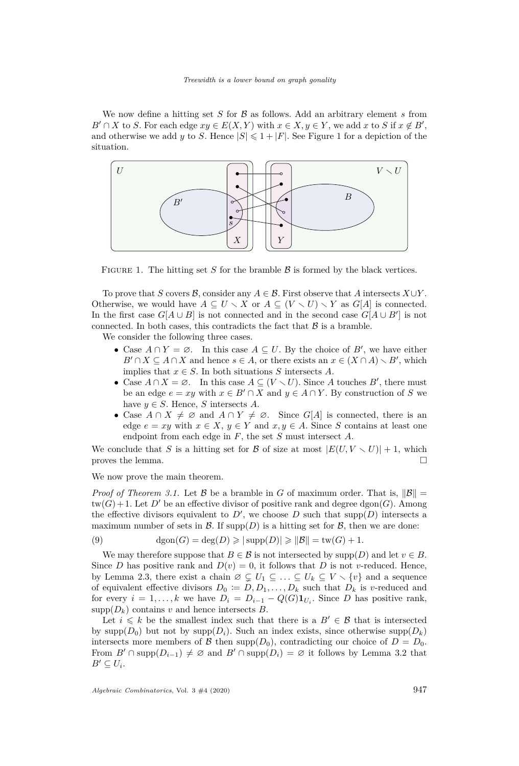We now define a hitting set  $S$  for  $\beta$  as follows. Add an arbitrary element  $s$  from  $B' \cap X$  to *S*. For each edge  $xy \in E(X, Y)$  with  $x \in X, y \in Y$ , we add *x* to *S* if  $x \notin B'$ , and otherwise we add *y* to *S*. Hence  $|S| \leq 1 + |F|$  $|S| \leq 1 + |F|$  $|S| \leq 1 + |F|$ . See Figure 1 for a depiction of the situation.



<span id="page-7-0"></span>FIGURE 1. The hitting set *S* for the bramble  $\beta$  is formed by the black vertices.

To prove that *S* covers *B*, consider any  $A \in \mathcal{B}$ . First observe that *A* intersects  $X \cup Y$ . Otherwise, we would have  $A \subseteq U \setminus X$  or  $A \subseteq (V \setminus U) \setminus Y$  as  $G[A]$  is connected. In the first case  $G[A \cup B]$  is not connected and in the second case  $G[A \cup B']$  is not connected. In both cases, this contradicts the fact that  $\beta$  is a bramble.

We consider the following three cases.

- Case  $A \cap Y = \emptyset$ . In this case  $A \subseteq U$ . By the choice of  $B'$ , we have either  $B' \cap X \subseteq A \cap X$  and hence  $s \in A$ , or there exists an  $x \in (X \cap A) \setminus B'$ , which implies that  $x \in S$ . In both situations *S* intersects *A*.
- Case  $A \cap X = \emptyset$ . In this case  $A \subseteq (V \setminus U)$ . Since A touches B', there must be an edge  $e = xy$  with  $x \in B' \cap X$  and  $y \in A \cap Y$ . By construction of *S* we have  $y \in S$ . Hence, *S* intersects *A*.
- Case  $A \cap X \neq \emptyset$  and  $A \cap Y \neq \emptyset$ . Since  $G[A]$  is connected, there is an edge  $e = xy$  with  $x \in X$ ,  $y \in Y$  and  $x, y \in A$ . Since *S* contains at least one endpoint from each edge in *F*, the set *S* must intersect *A*.

We conclude that *S* is a hitting set for *B* of size at most  $|E(U, V \setminus U)| + 1$ , which proves the lemma.  $\Box$ 

We now prove the main theorem.

*Proof of Theorem [3.1.](#page-6-0)* Let  $\mathcal{B}$  be a bramble in *G* of maximum order. That is,  $\|\mathcal{B}\|$  =  $tw(G) + 1$ . Let D' be an effective divisor of positive rank and degree dgon(*G*). Among the effective divisors equivalent to  $D'$ , we choose  $D$  such that supp $(D)$  intersects a maximum number of sets in  $\mathcal{B}$ . If supp $(D)$  is a hitting set for  $\mathcal{B}$ , then we are done:

(9) 
$$
\deg(n(G) = \deg(D) \ge |\supp(D)| \ge ||\mathcal{B}|| = \text{tw}(G) + 1.
$$

We may therefore suppose that  $B \in \mathcal{B}$  is not intersected by supp $(D)$  and let  $v \in B$ . Since *D* has positive rank and  $D(v) = 0$ , it follows that *D* is not *v*-reduced. Hence, by Lemma [2.3,](#page-4-0) there exist a chain  $\emptyset \subsetneq U_1 \subseteq \ldots \subseteq U_k \subseteq V \setminus \{v\}$  and a sequence of equivalent effective divisors  $D_0 \coloneqq D, D_1, \ldots, D_k$  such that  $D_k$  is *v*-reduced and for every  $i = 1, ..., k$  we have  $D_i = D_{i-1} - Q(G) \mathbf{1}_{U_i}$ . Since *D* has positive rank,  $supp(D_k)$  contains *v* and hence intersects *B*.

Let  $i \leq k$  be the smallest index such that there is a  $B' \in \mathcal{B}$  that is intersected by supp $(D_0)$  but not by supp $(D_i)$ . Such an index exists, since otherwise supp $(D_k)$ intersects more members of  $\mathcal{B}$  then supp $(D_0)$ , contradicting our choice of  $D = D_0$ . From  $B' \cap \text{supp}(D_{i-1}) \neq \emptyset$  and  $B' \cap \text{supp}(D_i) = \emptyset$  it follows by Lemma [3.2](#page-6-1) that  $B' \subseteq U_i$ .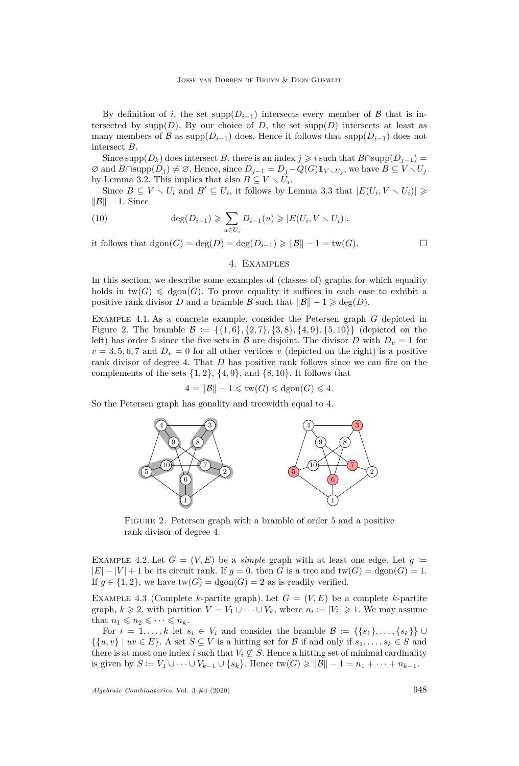By definition of *i*, the set supp $(D_{i-1})$  intersects every member of  $\beta$  that is intersected by  $\text{supp}(D)$ . By our choice of *D*, the set  $\text{supp}(D)$  intersects at least as many members of B as supp $(D_{i-1})$  does. Hence it follows that supp $(D_{i-1})$  does not intersect *B*.

Since supp $(D_k)$  does intersect *B*, there is an index  $j \geq i$  such that  $B \cap \text{supp}(D_{j-1}) =$  $\emptyset$  and  $B \cap \text{supp}(D_j) \neq \emptyset$ . Hence, since  $D_{j-1} = D_j - Q(G) \mathbf{1}_{V \setminus U_j}$ , we have  $B \subseteq V \setminus U_j$ by Lemma [3.2.](#page-6-1) This implies that also  $B \subseteq V \setminus U_i$ .

Since  $B \subseteq V \setminus U_i$  and  $B' \subseteq U_i$ , it follows by Lemma [3.3](#page-6-2) that  $|E(U_i, V \setminus U_i)| \geq$  $\|\mathcal{B}\| - 1$ . Since

(10) 
$$
\deg(D_{i-1}) \geqslant \sum_{u \in U_i} D_{i-1}(u) \geqslant |E(U_i, V \setminus U_i)|,
$$

it follows that  $\text{dgon}(G) = \text{deg}(D) = \text{deg}(D_{i-1}) \ge ||\mathcal{B}|| - 1 = \text{tw}(G)$ . □

# 4. Examples

In this section, we describe some examples of (classes of) graphs for which equality holds in  $\text{tw}(G) \leq \text{dgon}(G)$ . To prove equality it suffices in each case to exhibit a positive rank divisor *D* and a bramble B such that  $||\mathcal{B}|| - 1 \geq \deg(D)$ .

Example 4.1. As a concrete example, consider the Petersen graph *G* depicted in Figure [2.](#page-8-0) The bramble  $\mathcal{B} := \{\{1,6\},\{2,7\},\{3,8\},\{4,9\},\{5,10\}\}\$  (depicted on the left) has order 5 since the five sets in  $\beta$  are disjoint. The divisor *D* with  $D_v = 1$  for  $v = 3, 5, 6, 7$  and  $D_v = 0$  for all other vertices *v* (depicted on the right) is a positive rank divisor of degree 4. That *D* has positive rank follows since we can fire on the complements of the sets  $\{1, 2\}$ ,  $\{4, 9\}$ , and  $\{8, 10\}$ . It follows that

 $4 = ||\mathcal{B}|| - 1 \leqslant \text{tw}(G) \leqslant \text{dgon}(G) \leqslant 4.$ 

So the Petersen graph has gonality and treewidth equal to 4.



<span id="page-8-0"></span>Figure 2. Petersen graph with a bramble of order 5 and a positive rank divisor of degree 4.

EXAMPLE 4.2. Let  $G = (V, E)$  be a *simple* graph with at least one edge. Let  $g \coloneqq$  $|E| - |V| + 1$  be its circuit rank. If  $g = 0$ , then *G* is a tree and  $tw(G) = dgon(G) = 1$ . If  $g \in \{1,2\}$ , we have  $tw(G) = dgon(G) = 2$  as is readily verified.

EXAMPLE 4.3 (Complete *k*-partite graph). Let  $G = (V, E)$  be a complete *k*-partite graph,  $k \ge 2$ , with partition  $V = V_1 \cup \cdots \cup V_k$ , where  $n_i := |V_i| \ge 1$ . We may assume that  $n_1 \leqslant n_2 \leqslant \cdots \leqslant n_k$ .

For  $i = 1, \ldots, k$  let  $s_i \in V_i$  and consider the bramble  $\mathcal{B} := \{\{s_1\}, \ldots, \{s_k\}\}\cup\{s_k\}$  $\{\{u, v\} \mid uv \in E\}$ . A set  $S \subseteq V$  is a hitting set for B if and only if  $s_1, \ldots, s_k \in S$  and there is at most one index *i* such that  $V_i \nsubseteq S$ . Hence a hitting set of minimal cardinality is given by  $S = V_1 \cup \cdots \cup V_{k-1} \cup \{s_k\}$ . Hence  $\text{tw}(G) \ge ||\mathcal{B}|| - 1 = n_1 + \cdots + n_{k-1}$ .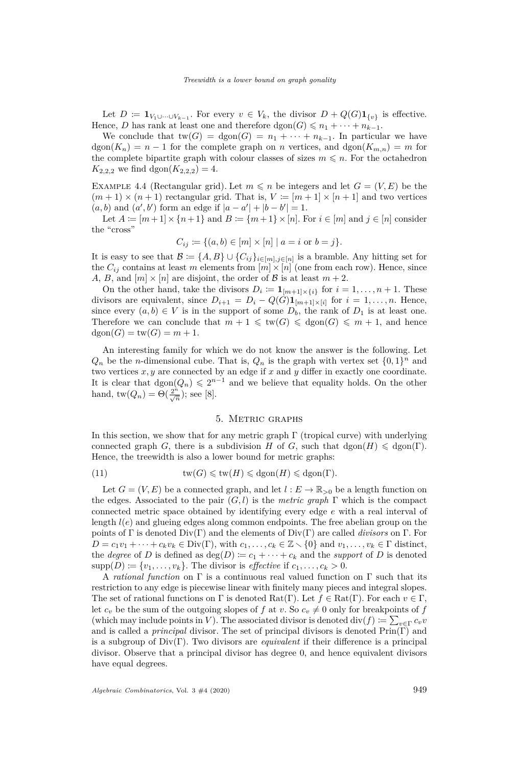Let  $D := \mathbf{1}_{V_1 \cup \dots \cup V_{k-1}}$ . For every  $v \in V_k$ , the divisor  $D + Q(G)\mathbf{1}_{\{v\}}$  is effective. Hence, *D* has rank at least one and therefore  $\text{dgon}(G) \leq n_1 + \cdots + n_{k-1}$ .

We conclude that  $tw(G) = dgon(G) = n_1 + \cdots + n_{k-1}$ . In particular we have  $\text{dgon}(K_n) = n - 1$  for the complete graph on *n* vertices, and  $\text{dgon}(K_{m,n}) = m$  for the complete bipartite graph with colour classes of sizes  $m \leq n$ . For the octahedron  $K_{2,2,2}$  we find dgon $(K_{2,2,2}) = 4$ .

EXAMPLE 4.4 (Rectangular grid). Let  $m \leq n$  be integers and let  $G = (V, E)$  be the  $(m+1) \times (n+1)$  rectangular grid. That is,  $V := [m+1] \times [n+1]$  and two vertices  $(a, b)$  and  $(a', b')$  form an edge if  $|a - a'| + |b - b'| = 1$ .

Let  $A := [m+1] \times \{n+1\}$  and  $B := \{m+1\} \times [n]$ . For  $i \in [m]$  and  $j \in [n]$  consider the "cross"

$$
C_{ij} \coloneqq \{(a, b) \in [m] \times [n] \mid a = i \text{ or } b = j\}.
$$

It is easy to see that  $\mathcal{B} := \{A, B\} \cup \{C_{ij}\}_{i \in [m], j \in [n]}$  is a bramble. Any hitting set for the  $C_{ij}$  contains at least *m* elements from  $[m] \times [n]$  (one from each row). Hence, since *A*, *B*, and  $[m] \times [n]$  are disjoint, the order of *B* is at least  $m + 2$ .

On the other hand, take the divisors  $D_i := \mathbf{1}_{[m+1] \times \{i\}}$  for  $i = 1, \ldots, n+1$ . These divisors are equivalent, since  $D_{i+1} = D_i - Q(G) \mathbf{1}_{[m+1] \times [i]}$  for  $i = 1, \ldots, n$ . Hence, since every  $(a, b) \in V$  is in the support of some  $D_b$ , the rank of  $D_1$  is at least one. Therefore we can conclude that  $m + 1 \leq \text{tw}(G) \leq \text{dgon}(G) \leq m + 1$ , and hence  $dgon(G) = tw(G) = m + 1.$ 

An interesting family for which we do not know the answer is the following. Let  $Q_n$  be the *n*-dimensional cube. That is,  $Q_n$  is the graph with vertex set  $\{0,1\}^n$  and two vertices  $x, y$  are connected by an edge if  $x$  and  $y$  differ in exactly one coordinate. It is clear that  $\text{dgon}(Q_n) \leq 2^{n-1}$  and we believe that equality holds. On the other hand,  $tw(Q_n) = \Theta(\frac{2^n}{\sqrt{n}});$  see [\[8\]](#page-12-10).

#### 5. Metric graphs

In this section, we show that for any metric graph  $\Gamma$  (tropical curve) with underlying connected graph *G*, there is a subdivision *H* of *G*, such that  $\text{dgon}(H) \leq \text{dgon}(\Gamma)$ . Hence, the treewidth is also a lower bound for metric graphs:

(11) 
$$
\text{tw}(G) \leq \text{tw}(H) \leq \text{dgon}(H) \leq \text{dgon}(\Gamma).
$$

Let  $G = (V, E)$  be a connected graph, and let  $l : E \to \mathbb{R}_{>0}$  be a length function on the edges. Associated to the pair (*G, l*) is the *metric graph* Γ which is the compact connected metric space obtained by identifying every edge *e* with a real interval of length *l*(*e*) and glueing edges along common endpoints. The free abelian group on the points of Γ is denoted Div(Γ) and the elements of Div(Γ) are called *divisors* on Γ. For  $D = c_1v_1 + \cdots + c_kv_k \in \text{Div}(\Gamma)$ , with  $c_1, \ldots, c_k \in \mathbb{Z} \setminus \{0\}$  and  $v_1, \ldots, v_k \in \Gamma$  distinct, the *degree* of *D* is defined as  $deg(D) := c_1 + \cdots + c_k$  and the *support* of *D* is denoted  $supp(D) \coloneqq \{v_1, \ldots, v_k\}.$  The divisor is *effective* if  $c_1, \ldots, c_k > 0.$ 

A *rational function* on Γ is a continuous real valued function on Γ such that its restriction to any edge is piecewise linear with finitely many pieces and integral slopes. The set of rational functions on  $\Gamma$  is denoted  $\text{Rat}(\Gamma)$ . Let  $f \in \text{Rat}(\Gamma)$ . For each  $v \in \Gamma$ , let  $c_v$  be the sum of the outgoing slopes of f at v. So  $c_v \neq 0$  only for breakpoints of f (which may include points in *V*). The associated divisor is denoted div( $f$ ) :=  $\sum_{v \in \Gamma} c_v v$ and is called a *principal* divisor. The set of principal divisors is denoted Prin(Γ) and is a subgroup of Div(Γ). Two divisors are *equivalent* if their difference is a principal divisor. Observe that a principal divisor has degree 0, and hence equivalent divisors have equal degrees.

*Algebraic Combinatorics*, Vol. 3  $\#4$  (2020) 949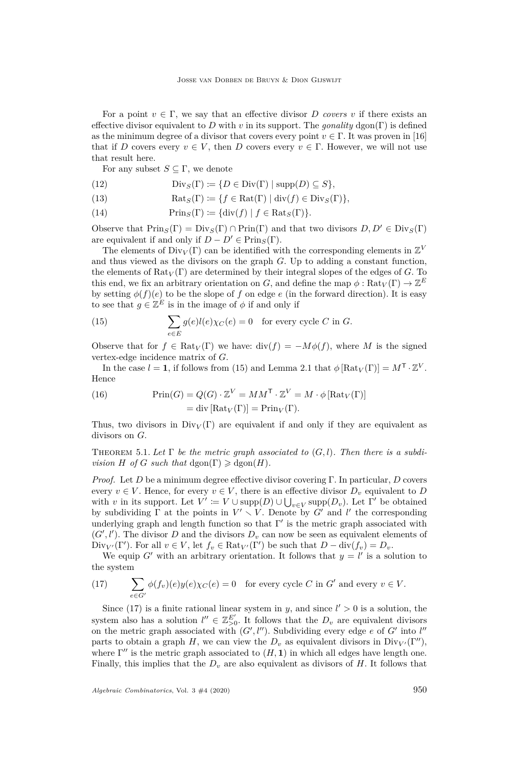For a point  $v \in \Gamma$ , we say that an effective divisor *D* covers *v* if there exists an effective divisor equivalent to *D* with *v* in its support. The *gonality* dgon(Γ) is defined as the minimum degree of a divisor that covers every point  $v \in \Gamma$ . It was proven in [\[16\]](#page-13-2) that if *D* covers every  $v \in V$ , then *D* covers every  $v \in \Gamma$ . However, we will not use that result here.

For any subset  $S \subseteq \Gamma$ , we denote

- (12)  $Div_S(\Gamma) := \{ D \in Div(\Gamma) \mid supp(D) \subseteq S \},\$
- (13)  $\operatorname{Rats}(\Gamma) \coloneqq \{f \in \operatorname{Rat}(\Gamma) \mid \operatorname{div}(f) \in \operatorname{Div}_S(\Gamma)\}\$
- (14)  $\text{Prin}_S(\Gamma) \coloneqq \{ \text{div}(f) \mid f \in \text{Rat}_S(\Gamma) \}.$

Observe that  $\text{Prin}_S(\Gamma) = \text{Div}_S(\Gamma) \cap \text{Prin}(\Gamma)$  and that two divisors  $D, D' \in \text{Div}_S(\Gamma)$ are equivalent if and only if  $D - D' \in \text{Prin}_S(\Gamma)$ .

The elements of  $\text{Div}_V(\Gamma)$  can be identified with the corresponding elements in  $\mathbb{Z}^V$ and thus viewed as the divisors on the graph *G*. Up to adding a constant function, the elements of  $\text{Rat}_V(\Gamma)$  are determined by their integral slopes of the edges of *G*. To this end, we fix an arbitrary orientation on *G*, and define the map  $\phi : \text{Rat}_V(\Gamma) \to \mathbb{Z}^E$ by setting  $\phi(f)(e)$  to be the slope of f on edge e (in the forward direction). It is easy to see that  $g \in \mathbb{Z}^E$  is in the image of  $\phi$  if and only if

<span id="page-10-0"></span>(15) 
$$
\sum_{e \in E} g(e)l(e)\chi_C(e) = 0 \text{ for every cycle } C \text{ in } G.
$$

Observe that for  $f \in \text{Rat}_V(\Gamma)$  we have:  $\text{div}(f) = -M\phi(f)$ , where M is the signed vertex-edge incidence matrix of *G*.

In the case  $l = 1$ , if follows from [\(15\)](#page-10-0) and Lemma [2.1](#page-3-4) that  $\phi \left[ \text{Rat}_V(\Gamma) \right] = M^{\mathsf{T}} \cdot \mathbb{Z}^V$ . Hence

(16) 
$$
\text{Prin}(G) = Q(G) \cdot \mathbb{Z}^V = MM^{\mathsf{T}} \cdot \mathbb{Z}^V = M \cdot \phi \left[ \text{Rat}_V(\Gamma) \right] = \text{div} \left[ \text{Rat}_V(\Gamma) \right] = \text{Prin}_V(\Gamma).
$$

Thus, two divisors in  $Div_V(\Gamma)$  are equivalent if and only if they are equivalent as divisors on *G*.

<span id="page-10-2"></span>THEOREM 5.1. Let  $\Gamma$  be the metric graph associated to  $(G, l)$ . Then there is a subdi*vision H of G such that* dgon( $\Gamma$ )  $\geq$  dgon( $H$ ).

*Proof.* Let *D* be a minimum degree effective divisor covering Γ. In particular, *D* covers every  $v \in V$ . Hence, for every  $v \in V$ , there is an effective divisor  $D_v$  equivalent to  $D$ with *v* in its support. Let  $V' \coloneqq V \cup \text{supp}(D) \cup \bigcup_{v \in V} \text{supp}(D_v)$ . Let  $\Gamma'$  be obtained by subdividing  $\Gamma$  at the points in  $V' \setminus V$ . Denote by G' and l' the corresponding underlying graph and length function so that  $\Gamma'$  is the metric graph associated with  $(G', l')$ . The divisor *D* and the divisors  $D_v$  can now be seen as equivalent elements of  $Div_{V'}(\Gamma')$ . For all  $v \in V$ , let  $f_v \in \text{Rat}_{V'}(\Gamma')$  be such that  $D - div(f_v) = D_v$ .

We equip *G*<sup> $\prime$ </sup> with an arbitrary orientation. It follows that  $y = l'$  is a solution to the system

<span id="page-10-1"></span>(17) 
$$
\sum_{e \in G'} \phi(f_v)(e)y(e)\chi_C(e) = 0 \text{ for every cycle } C \text{ in } G' \text{ and every } v \in V.
$$

Since [\(17\)](#page-10-1) is a finite rational linear system in *y*, and since  $l' > 0$  is a solution, the system also has a solution  $l'' \in \mathbb{Z}_{>0}^{E'}$ . It follows that the  $D_v$  are equivalent divisors on the metric graph associated with  $(G', l'')$ . Subdividing every edge  $e$  of  $G'$  into  $l''$ parts to obtain a graph *H*, we can view the  $D_v$  as equivalent divisors in  $Div_{V'}(\Gamma'')$ , where  $\Gamma''$  is the metric graph associated to  $(H, 1)$  in which all edges have length one. Finally, this implies that the *D<sup>v</sup>* are also equivalent as divisors of *H*. It follows that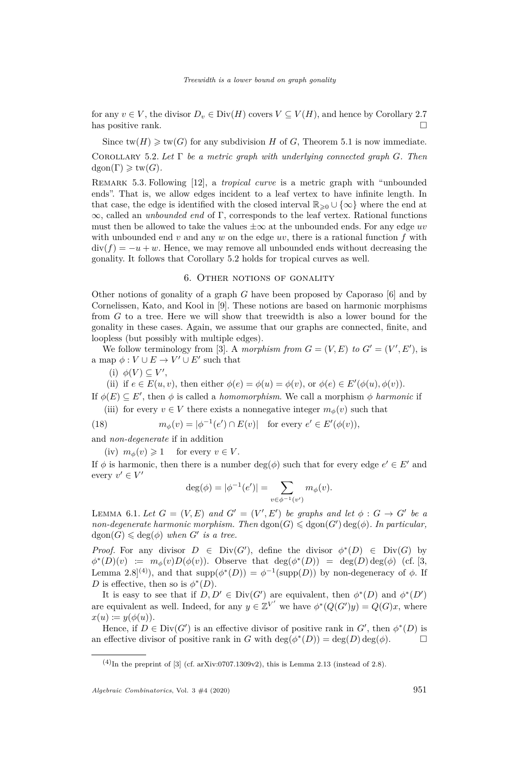for any  $v \in V$ , the divisor  $D_v \in Div(H)$  covers  $V \subseteq V(H)$ , and hence by Corollary [2.7](#page-5-1) has positive rank.  $\square$ 

<span id="page-11-0"></span>Since  $\text{tw}(H) \geq \text{tw}(G)$  for any subdivision *H* of *G*, Theorem [5.1](#page-10-2) is now immediate. Corollary 5.2. *Let* Γ *be a metric graph with underlying connected graph G. Then*  $dgon(\Gamma) \geq t w(G)$ .

Remark 5.3. Following [\[12\]](#page-12-11), a *tropical curve* is a metric graph with "unbounded ends". That is, we allow edges incident to a leaf vertex to have infinite length. In that case, the edge is identified with the closed interval  $\mathbb{R}_{\geq 0} \cup {\infty}$  where the end at ∞, called an *unbounded end* of Γ, corresponds to the leaf vertex. Rational functions must then be allowed to take the values  $\pm \infty$  at the unbounded ends. For any edge *uv* with unbounded end  $v$  and any  $w$  on the edge  $uv$ , there is a rational function  $f$  with  $div(f) = -u + w$ . Hence, we may remove all unbounded ends without decreasing the gonality. It follows that Corollary [5.2](#page-11-0) holds for tropical curves as well.

#### 6. Other notions of gonality

Other notions of gonality of a graph *G* have been proposed by Caporaso [\[6\]](#page-12-12) and by Cornelissen, Kato, and Kool in [\[9\]](#page-12-2). These notions are based on harmonic morphisms from *G* to a tree. Here we will show that treewidth is also a lower bound for the gonality in these cases. Again, we assume that our graphs are connected, finite, and loopless (but possibly with multiple edges).

We follow terminology from [\[3\]](#page-12-13). A *morphism from*  $G = (V, E)$  to  $G' = (V', E')$ , is a map  $\phi: V \cup E \to V' \cup E'$  such that

(i)  $\phi(V) \subseteq V'$ ,

(ii) if  $e \in E(u, v)$ , then either  $\phi(e) = \phi(u) = \phi(v)$ , or  $\phi(e) \in E'(\phi(u), \phi(v))$ .

If  $\phi(E) \subseteq E'$ , then  $\phi$  is called a *homomorphism*. We call a morphism  $\phi$  *harmonic* if (iii) for every  $v \in V$  there exists a nonnegative integer  $m_{\phi}(v)$  such that

(18) 
$$
m_{\phi}(v) = |\phi^{-1}(e') \cap E(v)| \text{ for every } e' \in E'(\phi(v)),
$$

and *non-degenerate* if in addition

<span id="page-11-1"></span>(iv)  $m_{\phi}(v) \geq 1$  for every  $v \in V$ .

If  $\phi$  is harmonic, then there is a number  $\deg(\phi)$  such that for every edge  $e' \in E'$  and every  $v' \in V'$ 

$$
\deg(\phi) = |\phi^{-1}(e')| = \sum_{v \in \phi^{-1}(v')} m_{\phi}(v).
$$

LEMMA 6.1. Let  $G = (V, E)$  and  $G' = (V', E')$  be graphs and let  $\phi : G \to G'$  be a *non-degenerate harmonic morphism. Then*  $d$ gon $(G) \leq d$ gon $(G')$   $deg(\phi)$ *. In particular,*  $dgon(G) \leqslant deg(\phi)$  *when G*<sup>*i*</sup> *is a tree.* 

*Proof.* For any divisor  $D \in Div(G')$ , define the divisor  $\phi^*(D) \in Div(G)$  by  $\phi^*(D)(v) := m_\phi(v)D(\phi(v))$ . Observe that deg( $\phi^*(D)$ ) = deg(*D*) deg( $\phi$ ) (cf. [\[3,](#page-12-13) Lemma 2.8<sup>(4)</sup>), and that  $\text{supp}(\phi^*(D)) = \phi^{-1}(\text{supp}(D))$  by non-degeneracy of  $\phi$ . If *D* is effective, then so is  $\phi^*(D)$ .

It is easy to see that if  $D, D' \in Div(G')$  are equivalent, then  $\phi^*(D)$  and  $\phi^*(D')$ are equivalent as well. Indeed, for any  $y \in \mathbb{Z}^{V'}$  we have  $\phi^*(Q(G')y) = Q(G)x$ , where  $x(u) := y(\phi(u)).$ 

Hence, if  $D \in Div(G')$  is an effective divisor of positive rank in  $G'$ , then  $\phi^*(D)$  is an effective divisor of positive rank in *G* with  $\deg(\phi^*(D)) = \deg(D) \deg(\phi)$ .

 $(4)$ In the preprint of [\[3\]](#page-12-13) (cf. [arXiv:0707.1309v2\)](https://arxiv.org/abs/0707.1309v2), this is Lemma 2.13 (instead of 2.8).

*Algebraic Combinatorics*, Vol. 3  $\#4$  (2020) 951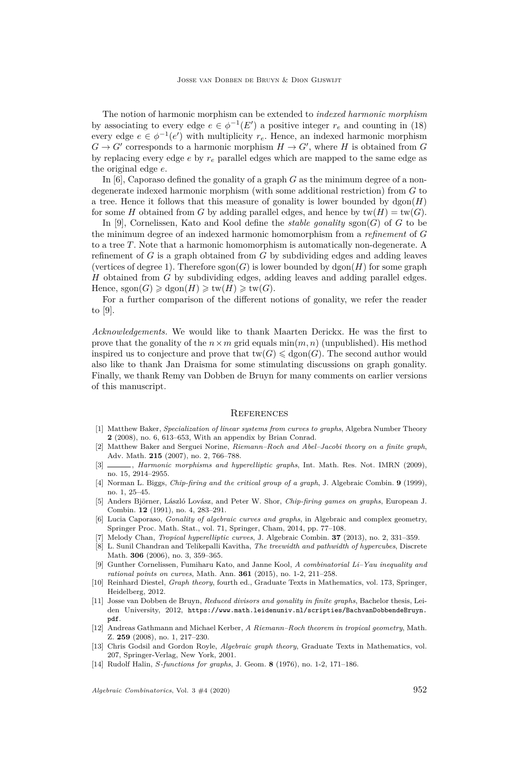The notion of harmonic morphism can be extended to *indexed harmonic morphism* by associating to every edge  $e \in \phi^{-1}(E')$  a positive integer  $r_e$  and counting in [\(18\)](#page-11-1) every edge  $e \in \phi^{-1}(e')$  with multiplicity  $r_e$ . Hence, an indexed harmonic morphism  $G \to G'$  corresponds to a harmonic morphism  $H \to G'$ , where *H* is obtained from *G* by replacing every edge *e* by *r<sup>e</sup>* parallel edges which are mapped to the same edge as the original edge *e*.

In [\[6\]](#page-12-12), Caporaso defined the gonality of a graph *G* as the minimum degree of a nondegenerate indexed harmonic morphism (with some additional restriction) from *G* to a tree. Hence it follows that this measure of gonality is lower bounded by  $\text{dgon}(H)$ for some *H* obtained from *G* by adding parallel edges, and hence by  $\text{tw}(H) = \text{tw}(G)$ .

In [\[9\]](#page-12-2), Cornelissen, Kato and Kool define the *stable gonality*  $sgon(G)$  of *G* to be the minimum degree of an indexed harmonic homomorphism from a *refinement* of *G* to a tree *T*. Note that a harmonic homomorphism is automatically non-degenerate. A refinement of *G* is a graph obtained from *G* by subdividing edges and adding leaves (vertices of degree 1). Therefore  $sgon(G)$  is lower bounded by  $dgon(H)$  for some graph *H* obtained from *G* by subdividing edges, adding leaves and adding parallel edges.  $Hence, scon(G) \geq dcon(H) \geq tw(H) \geq tw(G).$ 

For a further comparison of the different notions of gonality, we refer the reader to [\[9\]](#page-12-2).

*Acknowledgements.* We would like to thank Maarten Derickx. He was the first to prove that the gonality of the  $n \times m$  grid equals  $\min(m, n)$  (unpublished). His method inspired us to conjecture and prove that  $tw(G) \leq dgon(G)$ . The second author would also like to thank Jan Draisma for some stimulating discussions on graph gonality. Finally, we thank Remy van Dobben de Bruyn for many comments on earlier versions of this manuscript.

#### **REFERENCES**

- <span id="page-12-1"></span>[1] Matthew Baker, *Specialization of linear systems from curves to graphs*, Algebra Number Theory **2** (2008), no. 6, 613–653, With an appendix by Brian Conrad.
- <span id="page-12-0"></span>[2] Matthew Baker and Serguei Norine, *Riemann–Roch and Abel–Jacobi theory on a finite graph*, Adv. Math. **215** (2007), no. 2, 766–788.
- <span id="page-12-13"></span>[3] , *Harmonic morphisms and hyperelliptic graphs*, Int. Math. Res. Not. IMRN (2009), no. 15, 2914–2955.
- <span id="page-12-4"></span>[4] Norman L. Biggs, *Chip-firing and the critical group of a graph*, J. Algebraic Combin. **9** (1999), no. 1, 25–45.
- <span id="page-12-3"></span>[5] Anders Björner, László Lovász, and Peter W. Shor, *Chip-firing games on graphs*, European J. Combin. **12** (1991), no. 4, 283–291.
- <span id="page-12-12"></span>[6] Lucia Caporaso, *Gonality of algebraic curves and graphs*, in Algebraic and complex geometry, Springer Proc. Math. Stat., vol. 71, Springer, Cham, 2014, pp. 77–108.
- <span id="page-12-5"></span>[7] Melody Chan, *Tropical hyperelliptic curves*, J. Algebraic Combin. **37** (2013), no. 2, 331–359.
- <span id="page-12-10"></span>[8] L. Sunil Chandran and Telikepalli Kavitha, *The treewidth and pathwidth of hypercubes*, Discrete Math. **306** (2006), no. 3, 359–365.
- <span id="page-12-2"></span>[9] Gunther Cornelissen, Fumiharu Kato, and Janne Kool, *A combinatorial Li–Yau inequality and rational points on curves*, Math. Ann. **361** (2015), no. 1-2, 211–258.
- <span id="page-12-9"></span>[10] Reinhard Diestel, *Graph theory*, fourth ed., Graduate Texts in Mathematics, vol. 173, Springer, Heidelberg, 2012.
- <span id="page-12-6"></span>[11] Josse van Dobben de Bruyn, *Reduced divisors and gonality in finite graphs*, Bachelor thesis, Leiden University, 2012, [https://www.math.leidenuniv.nl/scripties/BachvanDobbendeBruyn.](https://www.math.leidenuniv.nl/scripties/BachvanDobbendeBruyn.pdf) [pdf](https://www.math.leidenuniv.nl/scripties/BachvanDobbendeBruyn.pdf).
- <span id="page-12-11"></span>[12] Andreas Gathmann and Michael Kerber, *A Riemann–Roch theorem in tropical geometry*, Math. Z. **259** (2008), no. 1, 217–230.
- <span id="page-12-7"></span>[13] Chris Godsil and Gordon Royle, *Algebraic graph theory*, Graduate Texts in Mathematics, vol. 207, Springer-Verlag, New York, 2001.
- <span id="page-12-8"></span>[14] Rudolf Halin, *S-functions for graphs*, J. Geom. **8** (1976), no. 1-2, 171–186.